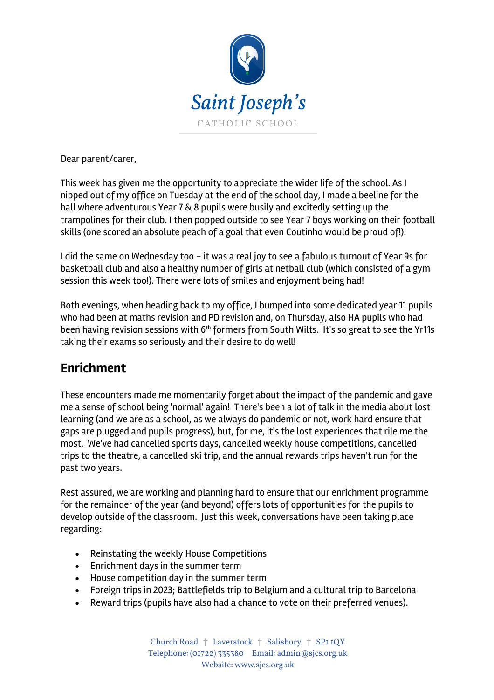

Dear parent/carer,

This week has given me the opportunity to appreciate the wider life of the school. As I nipped out of my office on Tuesday at the end of the school day, I made a beeline for the hall where adventurous Year 7 & 8 pupils were busily and excitedly setting up the trampolines for their club. I then popped outside to see Year 7 boys working on their football skills (one scored an absolute peach of a goal that even Coutinho would be proud of!).

I did the same on Wednesday too - it was a real joy to see a fabulous turnout of Year 9s for basketball club and also a healthy number of girls at netball club (which consisted of a gym session this week too!). There were lots of smiles and enjoyment being had!

Both evenings, when heading back to my office, I bumped into some dedicated year 11 pupils who had been at maths revision and PD revision and, on Thursday, also HA pupils who had been having revision sessions with 6<sup>th</sup> formers from South Wilts. It's so great to see the Yr11s taking their exams so seriously and their desire to do well!

#### **Enrichment**

These encounters made me momentarily forget about the impact of the pandemic and gave me a sense of school being 'normal' again! There's been a lot of talk in the media about lost learning (and we are as a school, as we always do pandemic or not, work hard ensure that gaps are plugged and pupils progress), but, for me, it's the lost experiences that rile me the most. We've had cancelled sports days, cancelled weekly house competitions, cancelled trips to the theatre, a cancelled ski trip, and the annual rewards trips haven't run for the past two years.

Rest assured, we are working and planning hard to ensure that our enrichment programme for the remainder of the year (and beyond) offers lots of opportunities for the pupils to develop outside of the classroom. Just this week, conversations have been taking place regarding:

- Reinstating the weekly House Competitions
- Enrichment days in the summer term
- House competition day in the summer term
- Foreign trips in 2023; Battlefields trip to Belgium and a cultural trip to Barcelona
- Reward trips (pupils have also had a chance to vote on their preferred venues).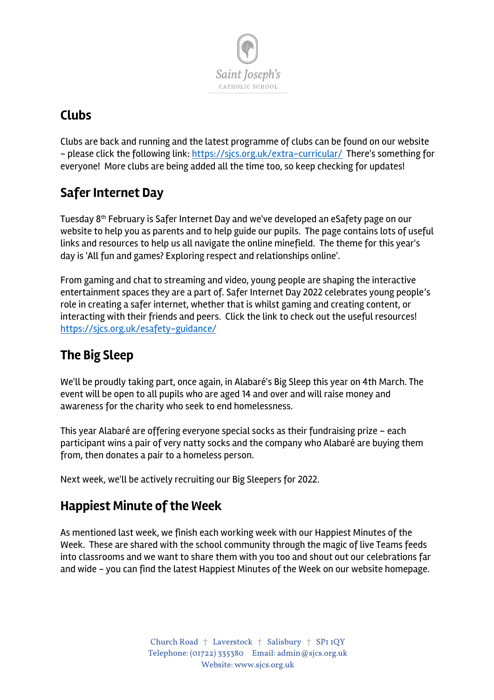

## **Clubs**

Clubs are back and running and the latest programme of clubs can be found on our website - please click the following link: https://sjcs.org.uk/extra-curricular/ There's something for everyone! More clubs are being added all the time too, so keep checking for updates!

## **Safer Internet Day**

Tuesday 8th February is Safer Internet Day and we've developed an eSafety page on our website to help you as parents and to help guide our pupils. The page contains lots of useful links and resources to help us all navigate the online minefield. The theme for this year's day is 'All fun and games? Exploring respect and relationships online'.

From gaming and chat to streaming and video, young people are shaping the interactive entertainment spaces they are a part of. Safer Internet Day 2022 celebrates young people's role in creating a safer internet, whether that is whilst gaming and creating content, or interacting with their friends and peers. Click the link to check out the useful resources! https://sjcs.org.uk/esafety-guidance/

# **The Big Sleep**

We'll be proudly taking part, once again, in Alabaré's Big Sleep this year on 4th March. The event will be open to all pupils who are aged 14 and over and will raise money and awareness for the charity who seek to end homelessness.

This year Alabaré are offering everyone special socks as their fundraising prize – each participant wins a pair of very natty socks and the company who Alabaré are buying them from, then donates a pair to a homeless person.

Next week, we'll be actively recruiting our Big Sleepers for 2022.

## **Happiest Minute of the Week**

As mentioned last week, we finish each working week with our Happiest Minutes of the Week. These are shared with the school community through the magic of live Teams feeds into classrooms and we want to share them with you too and shout out our celebrations far and wide - you can find the latest Happiest Minutes of the Week on our website homepage.